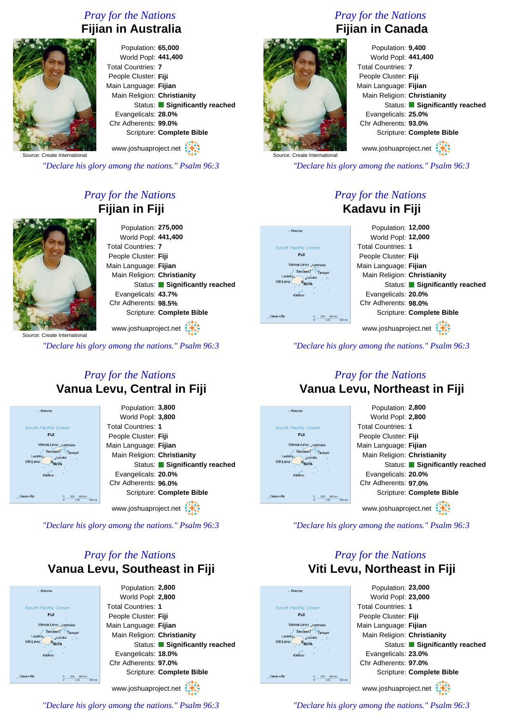### *Pray for the Nations* **Fijian in Australia**



Population: **65,000** World Popl: **441,400** Total Countries: **7** People Cluster: **Fiji** Main Language: **Fijian** Main Religion: **Christianity** Status: **Significantly reached** Evangelicals: **28.0%** Chr Adherents: **99.0%** Scripture: **Complete Bible** www.joshuaproject.net

Source: Create International

*"Declare his glory among the nations." Psalm 96:3*

## *Pray for the Nations* **Fijian in Fiji**

Source: Create International

*"Declare his glory among the nations." Psalm 96:3*

#### *Pray for the Nations* **Vanua Levu, Central in Fiji**

| a Rotuma                             | Population: 3,800             |
|--------------------------------------|-------------------------------|
|                                      | World Popl: 3,800             |
| <b>South Pacific Ocean</b>           | <b>Total Countries: 1</b>     |
| <b>FIJI</b>                          | People Cluster: Fiji          |
| Vanua Levu Lambasa                   | Main Language: Fijian         |
| <b>Savusavu</b><br>Lautoka<br>Levuka | Main Religion: Christianity   |
| Viti Levu<br><b>SUVA</b>             | Status: Significantly reached |
| Kadavu                               | Evangelicals: 20.0%           |
|                                      | Chr Adherents: 96.0%          |
| Cava-i-Ra<br>200 km<br>100           | Scripture: Complete Bible     |
| 200 mi<br>$\Omega$<br>100            |                               |
|                                      | www.joshuaproject.net         |

*"Declare his glory among the nations." Psalm 96:3*

# *Pray for the Nations* **Vanua Levu, Southeast in Fiji**



World Popl: **441,400** Total Countries: **7** People Cluster: **Fiji** Main Language: **Fijian** Main Religion: **Christianity** Status: **Significantly reached** Evangelicals: **25.0%** Chr Adherents: **93.0%** Scripture: **Complete Bible** www.joshuaproject.net

*"Declare his glory among the nations." Psalm 96:3*

#### *Pray for the Nations* **Kadavu in Fiji**



*"Declare his glory among the nations." Psalm 96:3*

#### *Pray for the Nations* **Vanua Levu, Northeast in Fiji**



*"Declare his glory among the nations." Psalm 96:3*

### *Pray for the Nations* **Viti Levu, Northeast in Fiji**



*"Declare his glory among the nations." Psalm 96:3*

*"Declare his glory among the nations." Psalm 96:3*

### *Pray for the Nations* **Fijian in Canada**

Population: **9,400**



Ceva-i-Ru